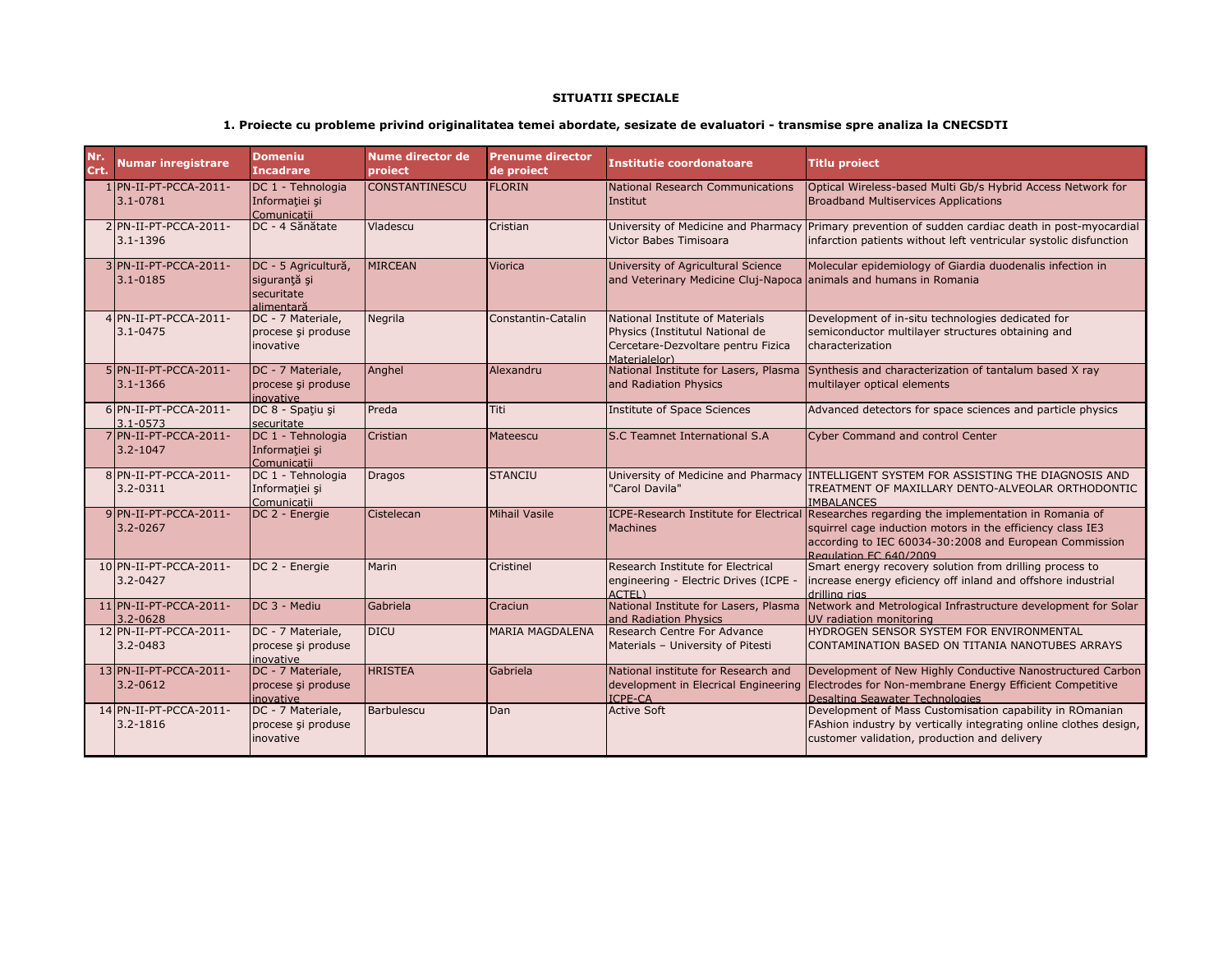## **SITUATII SPECIALE**

## **1. Proiecte cu probleme privind originalitatea temei abordate, sesizate de evaluatori - transmise spre analiza la CNECSDTI**

| Nr.<br>Crt. | <b>Numar inregistrare</b>               | <b>Domeniu</b><br><b>Incadrare</b>                              | Nume director de<br>project | <b>Prenume director</b><br>de proiect | <b>Institutie coordonatoare</b>                                                                                           | <b>Titlu proiect</b>                                                                                                                                                                                    |
|-------------|-----------------------------------------|-----------------------------------------------------------------|-----------------------------|---------------------------------------|---------------------------------------------------------------------------------------------------------------------------|---------------------------------------------------------------------------------------------------------------------------------------------------------------------------------------------------------|
|             | 1 PN-II-PT-PCCA-2011-<br>$3.1 - 0781$   | DC 1 - Tehnologia<br>Informatiei și<br>Comunicatii              | CONSTANTINESCU              | <b>FLORIN</b>                         | National Research Communications<br>Institut                                                                              | Optical Wireless-based Multi Gb/s Hybrid Access Network for<br><b>Broadband Multiservices Applications</b>                                                                                              |
|             | 2 PN-II-PT-PCCA-2011-<br>$3.1 - 1396$   | DC - 4 Sănătate                                                 | Vladescu                    | Cristian                              | Victor Babes Timisoara                                                                                                    | University of Medicine and Pharmacy Primary prevention of sudden cardiac death in post-myocardial<br>infarction patients without left ventricular systolic disfunction                                  |
|             | 3 PN-II-PT-PCCA-2011-<br>$3.1 - 0185$   | DC - 5 Agricultură,<br>sigurantă și<br>securitate<br>alimentară | <b>MIRCEAN</b>              | <b>Viorica</b>                        | University of Agricultural Science<br>and Veterinary Medicine Cluj-Napoca animals and humans in Romania                   | Molecular epidemiology of Giardia duodenalis infection in                                                                                                                                               |
|             | 4 PN-II-PT-PCCA-2011-<br>$3.1 - 0475$   | DC - 7 Materiale,<br>procese și produse<br>inovative            | Negrila                     | Constantin-Catalin                    | National Institute of Materials<br>Physics (Institutul National de<br>Cercetare-Dezvoltare pentru Fizica<br>Materialelor) | Development of in-situ technologies dedicated for<br>semiconductor multilayer structures obtaining and<br>characterization                                                                              |
|             | $5$ PN-II-PT-PCCA-2011-<br>$3.1 - 1366$ | DC - 7 Materiale,<br>procese și produse<br>inovative            | Anghel                      | Alexandru                             | National Institute for Lasers, Plasma<br>and Radiation Physics                                                            | Synthesis and characterization of tantalum based X ray<br>multilayer optical elements                                                                                                                   |
|             | 6 PN-II-PT-PCCA-2011-<br>$3.1 - 0573$   | DC 8 - Spațiu și<br>securitate                                  | Preda                       | Titi                                  | Institute of Space Sciences                                                                                               | Advanced detectors for space sciences and particle physics                                                                                                                                              |
|             | 7 PN-II-PT-PCCA-2011-<br>$3.2 - 1047$   | DC 1 - Tehnologia<br>Informației și<br>Comunicatii              | Cristian                    | Mateescu                              | S.C Teamnet International S.A                                                                                             | <b>Cyber Command and control Center</b>                                                                                                                                                                 |
|             | 8 PN-II-PT-PCCA-2011-<br>$3.2 - 0311$   | DC 1 - Tehnologia<br>Informatiei și<br>Comunicatii              | <b>Dragos</b>               | <b>STANCIU</b>                        | "Carol Davila"                                                                                                            | University of Medicine and Pharmacy INTELLIGENT SYSTEM FOR ASSISTING THE DIAGNOSIS AND<br>TREATMENT OF MAXILLARY DENTO-ALVEOLAR ORTHODONTIC<br><b>IMBALANCES</b>                                        |
|             | 9PN-II-PT-PCCA-2011-<br>3.2-0267        | DC 2 - Energie                                                  | Cistelecan                  | <b>Mihail Vasile</b>                  | <b>ICPE-Research Institute for Electrical</b><br><b>Machines</b>                                                          | Researches regarding the implementation in Romania of<br>squirrel cage induction motors in the efficiency class IE3<br>according to IEC 60034-30:2008 and European Commission<br>Regulation EC 640/2009 |
|             | 10 PN-II-PT-PCCA-2011-<br>$3.2 - 0427$  | DC 2 - Energie                                                  | Marin                       | Cristinel                             | Research Institute for Electrical<br>engineering - Electric Drives (ICPE -<br>ACTEL)                                      | Smart energy recovery solution from drilling process to<br>increase energy eficiency off inland and offshore industrial<br>drilling rigs                                                                |
|             | $11$ PN-II-PT-PCCA-2011-<br>3.2-0628    | DC 3 - Mediu                                                    | Gabriela                    | Craciun                               | National Institute for Lasers, Plasma<br>and Radiation Physics                                                            | Network and Metrological Infrastructure development for Solar<br>UV radiation monitoring                                                                                                                |
|             | 12 PN-II-PT-PCCA-2011-<br>$3.2 - 0483$  | DC - 7 Materiale,<br>procese și produse<br>inovative            | <b>DICU</b>                 | <b>MARIA MAGDALENA</b>                | Research Centre For Advance<br>Materials - University of Pitesti                                                          | HYDROGEN SENSOR SYSTEM FOR ENVIRONMENTAL<br>CONTAMINATION BASED ON TITANIA NANOTUBES ARRAYS                                                                                                             |
|             | 13 PN-II-PT-PCCA-2011-<br>$3.2 - 0612$  | DC - 7 Materiale,<br>procese și produse<br>inovative            | <b>HRISTEA</b>              | Gabriela                              | National institute for Research and<br>development in Elecrical Engineering<br><b>ICPE-CA</b>                             | Development of New Highly Conductive Nanostructured Carbon<br>Electrodes for Non-membrane Energy Efficient Competitive<br>Desalting Seawater Technologies                                               |
|             | 14 PN-II-PT-PCCA-2011-<br>3.2-1816      | DC - 7 Materiale,<br>procese și produse<br>inovative            | <b>Barbulescu</b>           | Dan                                   | <b>Active Soft</b>                                                                                                        | Development of Mass Customisation capability in ROmanian<br>FAshion industry by vertically integrating online clothes design,<br>customer validation, production and delivery                           |